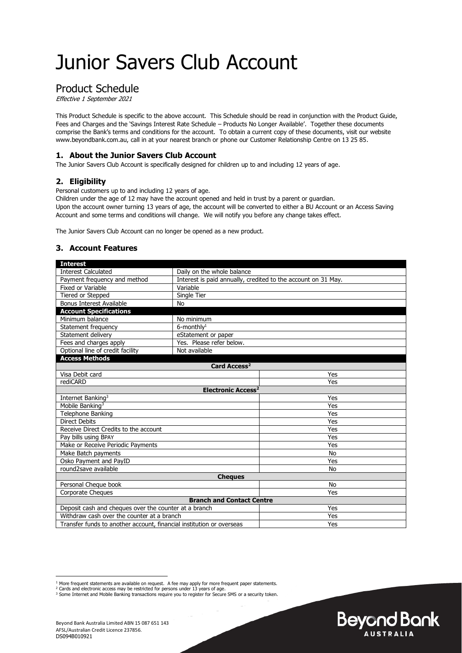# Junior Savers Club Account

## Product Schedule

Effective 1 September 2021

This Product Schedule is specific to the above account. This Schedule should be read in conjunction with the Product Guide, Fees and Charges and the 'Savings Interest Rate Schedule – Products No Longer Available'. Together these documents comprise the Bank's terms and conditions for the account. To obtain a current copy of these documents, visit our website www.beyondbank.com.au, call in at your nearest branch or phone our Customer Relationship Centre on 13 25 85.

#### **1. About the Junior Savers Club Account**

The Junior Savers Club Account is specifically designed for children up to and including 12 years of age.

#### **2. Eligibility**

Personal customers up to and including 12 years of age.

Children under the age of 12 may have the account opened and held in trust by a parent or guardian. Upon the account owner turning 13 years of age, the account will be converted to either a BU Account or an Access Saving Account and some terms and conditions will change. We will notify you before any change takes effect.

The Junior Savers Club Account can no longer be opened as a new product.

#### **3. Account Features**

| <b>Interest</b>                                                      |                                                               |           |  |
|----------------------------------------------------------------------|---------------------------------------------------------------|-----------|--|
| <b>Interest Calculated</b>                                           | Daily on the whole balance                                    |           |  |
| Payment frequency and method                                         | Interest is paid annually, credited to the account on 31 May. |           |  |
| Fixed or Variable                                                    | Variable                                                      |           |  |
| Tiered or Stepped                                                    | Single Tier                                                   |           |  |
| Bonus Interest Available                                             | No                                                            |           |  |
| <b>Account Specifications</b>                                        |                                                               |           |  |
| Minimum balance                                                      | No minimum                                                    |           |  |
| Statement frequency                                                  | $6$ -monthly <sup>1</sup>                                     |           |  |
| Statement delivery                                                   | eStatement or paper                                           |           |  |
| Fees and charges apply                                               | Yes. Please refer below.                                      |           |  |
| Optional line of credit facility                                     | Not available                                                 |           |  |
| <b>Access Methods</b>                                                |                                                               |           |  |
| Card Access <sup>2</sup>                                             |                                                               |           |  |
| Visa Debit card                                                      |                                                               | Yes       |  |
| rediCARD                                                             |                                                               | Yes       |  |
| <b>Electronic Access<sup>2</sup></b>                                 |                                                               |           |  |
| Internet Banking <sup>3</sup>                                        |                                                               | Yes       |  |
| Mobile Banking <sup>3</sup>                                          |                                                               | Yes       |  |
| Telephone Banking                                                    |                                                               | Yes       |  |
| <b>Direct Debits</b>                                                 |                                                               | Yes       |  |
| Receive Direct Credits to the account                                |                                                               | Yes       |  |
| Pay bills using BPAY                                                 |                                                               | Yes       |  |
| Make or Receive Periodic Payments                                    |                                                               | Yes       |  |
| Make Batch payments                                                  |                                                               | <b>No</b> |  |
| Osko Payment and PayID                                               |                                                               | Yes       |  |
| round2save available                                                 |                                                               | <b>No</b> |  |
| <b>Cheques</b>                                                       |                                                               |           |  |
| Personal Cheque book                                                 |                                                               | <b>No</b> |  |
| Corporate Cheques                                                    |                                                               | Yes       |  |
| <b>Branch and Contact Centre</b>                                     |                                                               |           |  |
| Deposit cash and cheques over the counter at a branch                |                                                               | Yes       |  |
| Withdraw cash over the counter at a branch                           |                                                               | Yes       |  |
| Transfer funds to another account, financial institution or overseas |                                                               | Yes       |  |



<sup>&</sup>lt;sup>1</sup> More frequent statements are available on request. A fee may apply for more frequent paper statements.

<sup>&</sup>lt;sup>2</sup> Cards and electronic access may be restricted for persons under 13 years of age.<br><sup>3</sup> Some Internet and Mobile Banking transactions require you to register for Secure SMS or a security token.